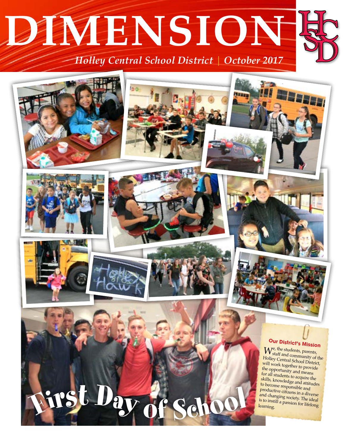# **DIMENSION** *Holley Central School District October 2017*

# **Our District's Mission**  $W_{\text{staff and}}^{\text{e, the students, parents}}$ staff and community of the Holley Central School District, will work together to provide the opportunity and means for all students to acquire the skills, knowledge and attitudes to become responsible and productive citizens in a diverse and changing society. The ideal is to instill a passion for lifelong <sup>F</sup>irs<sup>t</sup> <sup>D</sup><sup>a</sup><sup>y</sup> learning. <sup>o</sup><sup>f</sup> <sup>S</sup>choo<sup>l</sup>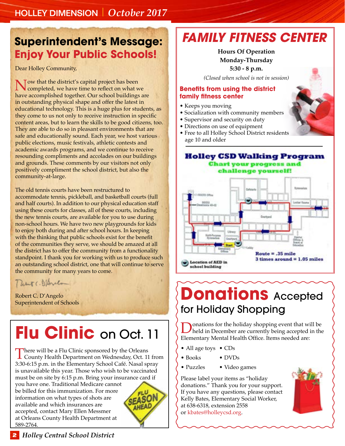### **Superintendent's Message: Enjoy Your Public Schools!**

Dear Holley Community,

Now that the district's capital project has been<br>completed, we have time to reflect on what we<br>have a promotion of the class Current relativities have accomplished together. Our school buildings are in outstanding physical shape and offer the latest in educational technology. This is a huge plus for students, as they come to us not only to receive instruction in specific content areas, but to learn the skills to be good citizens, too. They are able to do so in pleasant environments that are safe and educationally sound. Each year, we host various public elections, music festivals, athletic contests and academic awards programs, and we continue to receive resounding compliments and accolades on our buildings and grounds. These comments by our visitors not only positively compliment the school district, but also the community-at-large.

The old tennis courts have been restructured to accommodate tennis, pickleball, and basketball courts (full and half courts). In addition to our physical education staff using these courts for classes, all of these courts, including the new tennis courts, are available for you to use during non-school hours. We have two new playgrounds for kids to enjoy both during and after school hours. In keeping with the thinking that public schools exist for the benefit of the communities they serve, we should be amazed at all the district has to offer the community from a functionality standpoint. I thank you for working with us to produce such an outstanding school district, one that will continue to serve the community for many years to come.

Detroit (. 1) Bridge

Robert C. D'Angelo Superintendent of Schools

# **Flu Clinic** on Oct. 11

There will be a Flu Clinic sponsored by the Orleans<br>County Health Department on Wednesday, Oct. 11 from 3:30-6:15 p.m. in the Elementary School Café. Nasal spray is unavailable this year. Those who wish to be vaccinated must be on site by 6:15 p.m. Bring your insurance card if you have one. Traditional Medicare cannot be billed for this immunization. For more SEASON information on what types of shots are available and which insurances are AHEAL accepted, contact Mary Ellen Messmer at Orleans County Health Department at 589-2764.

### *FAMILY FITNESS CENTER*

#### $\frac{1}{\sqrt{2}}$ MONDAY-THURSDAY **Monday-Thursday**  5:30 - 8 p.m. **Hours Of Operation**

(Closed when school is not in session) *(Closed when school is not in session)*

#### **family fitness center family fitness center Benefits from using the district**

- $\bullet$  Keeps you moving
- Socialization with community members
- $\bullet$  Supervisor and security on duty
- $\bullet$  Directions on use of equipment
- Free to all Holley School District residents  $\blacksquare$   $\blacksquare$   $\blacksquare$   $\blacksquare$   $\blacksquare$   $\blacksquare$   $\blacksquare$   $\blacksquare$   $\blacksquare$   $\blacksquare$   $\blacksquare$   $\blacksquare$   $\blacksquare$   $\blacksquare$   $\blacksquare$   $\blacksquare$   $\blacksquare$   $\blacksquare$   $\blacksquare$   $\blacksquare$   $\blacksquare$   $\blacksquare$   $\blacksquare$   $\blacksquare$   $\blacksquare$   $\blacksquare$   $\blacksquare$   $\blacksquare$   $\blacksquare$   $\blacksquare$   $\blacksquare$   $\blacks$ age 10 and older

#### **Holley CSD Walking Program Chart your progress**



## **Donations** Accepted for Holiday Shopping

**D**onations for the holiday shopping event that will be held in December are currently being accepted in the Elements Market Held Office. It was used at a vari-Elementary Mental Health Office. Items needed are:

- All age toys CDs
- Books • DVDs
- Puzzles • Video games

Please label your items as "holiday donations." Thank you for your support. If you have any questions, please contact Kelly Bates, Elementary Social Worker, at 638-6318, extension 2558 or kbates@holleycsd.org.



**2** *Holley Central School District*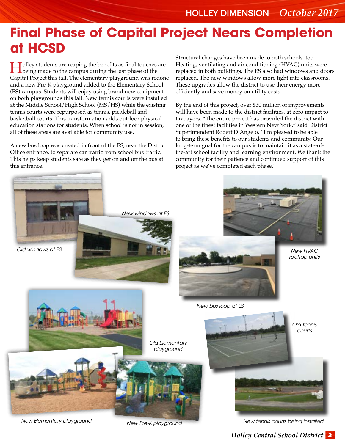### **Final Phase of Capital Project Nears Completion at HCSD**

**Holley students are reaping the benefits as final touches are <br>being made to the campus during the last phase of the<br>Conjital Praiast this fall. The alamentary alarms and we get and** Capital Project this fall. The elementary playground was redone and a new Pre-K playground added to the Elementary School (ES) campus. Students will enjoy using brand new equipment on both playgrounds this fall. New tennis courts were installed at the Middle School/High School (MS/HS) while the existing tennis courts were repurposed as tennis, pickleball and basketball courts. This transformation adds outdoor physical education stations for students. When school is not in session, all of these areas are available for community use.

A new bus loop was created in front of the ES, near the District Office entrance, to separate car traffic from school bus traffic. This helps keep students safe as they get on and off the bus at this entrance.

Structural changes have been made to both schools, too. Heating, ventilating and air conditioning (HVAC) units were replaced in both buildings. The ES also had windows and doors replaced. The new windows allow more light into classrooms. These upgrades allow the district to use their energy more efficiently and save money on utility costs.

By the end of this project, over \$30 million of improvements will have been made to the district facilities, at zero impact to taxpayers. "The entire project has provided the district with one of the finest facilities in Western New York," said District Superintendent Robert D'Angelo. "I'm pleased to be able to bring these benefits to our students and community. Our long-term goal for the campus is to maintain it as a state-ofthe-art school facility and learning environment. We thank the community for their patience and continued support of this project as we've completed each phase."



*New Elementary playground New Pre-K playground*

*New tennis courts being installed*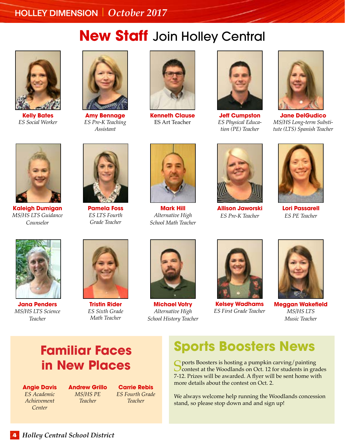## **New Staff** Join Holley Central



**Kelly Bates** *ES Social Worker*



**Amy Bennage** *ES Pre-K Teaching Assistant*



**Kenneth Clause** ES Art Teacher



**Jeff Cumpston** *ES Physical Education (PE) Teacher*



**Jane DelGudico** *MS/HS Long-term Substitute (LTS) Spanish Teacher*



**Kaleigh Dumigan** *MS/HS LTS Guidance Counselor*



**Pamela Foss** *ES LTS Fourth Grade Teacher*



**Mark Hill** *Alternative High School Math Teacher*



**Allison Jaworski** *ES Pre-K Teacher*



**Lori Passarell** *ES PE Teacher*



**Jana Penders** *MS/HS LTS Science Teacher*



**Tristin Rider** *ES Sixth Grade Math Teacher*



**Michael Votry** *Alternative High School History Teacher*



**Kelsey Wadhams** *ES First Grade Teacher*



**Meggan Wakefield** *MS/HS LTS Music Teacher*

### **Familiar Faces in New Places**

**Angie Davis** *ES Academic Achievement Center*

**Andrew Grillo** *MS/HS PE Teacher*

**Carrie Rebis** *ES Fourth Grade Teacher*

### **Sports Boosters News**

Sports Boosters is hosting a pumpkin carving/painting<br>Contest at the Woodlands on Oct. 12 for students in grades 7-12. Prizes will be awarded. A flyer will be sent home with more details about the contest on Oct. 2.

We always welcome help running the Woodlands concession stand, so please stop down and and sign up!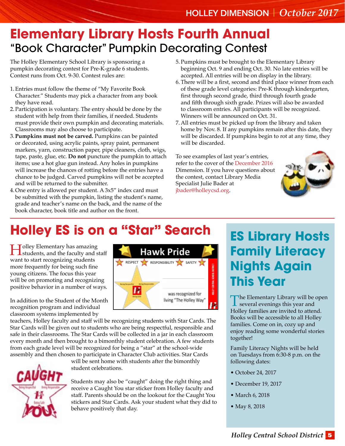### **Elementary Library Hosts Fourth Annual** "Book Character" Pumpkin Decorating Contest

The Holley Elementary School Library is sponsoring a pumpkin decorating contest for Pre-K-grade 6 students. Contest runs from Oct. 9-30. Contest rules are:

- 1.Entries must follow the theme of "My Favorite Book Character." Students may pick a character from any book they have read.
- 2.Participation is voluntary. The entry should be done by the student with help from their families, if needed. Students must provide their own pumpkin and decorating materials. Classrooms may also choose to participate.
- 3.**Pumpkins must not be carved.** Pumpkins can be painted or decorated, using acrylic paints, spray paint, permanent markers, yarn, construction paper, pipe cleaners, cloth, wigs, tape, paste, glue, etc. **Do not** puncture the pumpkin to attach items; use a hot glue gun instead. Any holes in pumpkins will increase the chances of rotting before the entries have a chance to be judged. Carved pumpkins will not be accepted and will be returned to the submitter.
- 4.One entry is allowed per student. A 3x5" index card must be submitted with the pumpkin, listing the student's name, grade and teacher's name on the back, and the name of the book character, book title and author on the front.
- 5.Pumpkins must be brought to the Elementary Library beginning Oct. 9 and ending Oct. 30. No late entries will be accepted. All entries will be on display in the library.
- 6.There will be a first, second and third place winner from each of these grade level categories: Pre-K through kindergarten, first through second grade, third through fourth grade and fifth through sixth grade. Prizes will also be awarded to classroom entries. All participants will be recognized. Winners will be announced on Oct. 31.
- 7.All entries must be picked up from the library and taken home by Nov. 8. If any pumpkins remain after this date, they will be discarded. If pumpkins begin to rot at any time, they will be discarded.

To see examples of last year's entries, refer to the cover of the [December 2016](www.holleycsd.org/files/filesystem/41627%20Holley%20Dimension%2012-16%20proof%205.pdf) Dimension. If you have questions about the contest, contact Library Media Specialist Julie Bader at [jbader@holleycsd.org.](mailto:jbader@holleycsd.org)



# **Holley ES is on a "Star" Search**

I Jolley Elementary has amazing<br>students, and the faculty and staff want to start recognizing students more frequently for being such fine young citizens. The focus this year will be on promoting and recognizing positive behavior in a number of ways.

In addition to the Student of the Month recognition program and individual classroom systems implemented by



teachers, Holley faculty and staff will be recognizing students with Star Cards. The Star Cards will be given out to students who are being respectful, responsible and safe in their classrooms. The Star Cards will be collected in a jar in each classroom every month and then brought to a bimonthly student celebration. A few students from each grade level will be recognized for being a "star" at the school-wide assembly and then chosen to participate in Character Club activities. Star Cards



will be sent home with students after the bimonthly student celebrations.

Students may also be "caught" doing the right thing and receive a Caught You star sticker from Holley faculty and staff. Parents should be on the lookout for the Caught You stickers and Star Cards. Ask your student what they did to behave positively that day.

### **ES Library Hosts Family Literacy Nights Again This Year**

The Elementary Library will be open  $\perp$  several evenings this year and Holley families are invited to attend. Books will be accessible to all Holley families. Come on in, cozy up and enjoy reading some wonderful stories together!

Family Literacy Nights will be held on Tuesdays from 6:30-8 p.m. on the following dates:

- October 24, 2017
- December 19, 2017
- March 6, 2018
- May 8, 2018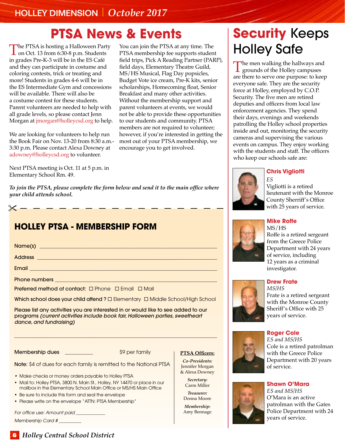### **PTSA News & Events**

The PTSA is hosting a Halloween Party<br>on Oct. 13 from 6:30-8 p.m. Students<br>in angles Pre K 2 will be in the ES Café in grades Pre-K-3 will be in the ES Café and they can participate in costume and coloring contests, trick or treating and more! Students in grades 4-6 will be in the ES Intermediate Gym and concessions will be available. There will also be a costume contest for these students. Parent volunteers are needed to help with all grade levels, so please contact Jenn Morgan at *jmorgan@holleycsd.org* to help.

We are looking for volunteers to help run the Book Fair on Nov. 13-20 from 8:30 a.m.- 3:30 p.m. Please contact Alexa Downey at adowney@holleycsd.org to volunteer.

Next PTSA meeting is Oct. 11 at 5 p.m. in Elementary School Rm. 49.

*To join the PTSA, please complete the form below and send it to the main office where your child attends school.* 

|  | <b>HOLLEY PTSA - MEMBERSHIP FORM</b>                                           |
|--|--------------------------------------------------------------------------------|
|  |                                                                                |
|  |                                                                                |
|  | Email <b>Experience of the Community of the Community</b>                      |
|  |                                                                                |
|  | <b>Preferred method of contact:</b> $\Box$ Phone $\Box$ Email $\Box$ Mail      |
|  | Which school does your child attend ? □ Elementary □ Middle School/High School |
|  |                                                                                |

Please list any activities you are interested in or would like to see added to our programs *(current activities include book fair, Halloween parties, sweetheart dance, and fundraising)*

\_\_\_\_\_\_\_\_\_\_\_\_\_\_\_\_\_\_\_\_\_\_\_\_\_\_\_\_\_\_\_\_\_\_\_\_\_\_\_\_\_\_\_\_\_\_\_\_\_\_\_\_\_\_\_\_\_\_\_\_\_\_\_\_\_\_\_\_\_\_\_\_\_\_\_\_\_\_\_\_

Membership dues \_\_\_\_\_\_\_\_\_\_\_ \$9 per family

**PTSA Officers:** *Co-Presidents:* 

Jennifer Morgan & Alexa Downey *Secretary:*  Carm Miller *Treasurer:*  Donna Moore *Membership:*  Amy Bennage

Note: \$4 of dues for each family is remitted to the National PTSA

- Make checks or money orders payable to Holley PTSA
- Mail to: Holley PTSA, 3800 N. Main St., Holley, NY 14470 or place in our mailbox in the Elementary School Main Office or MS/HS Main Office
- Be sure to include this form and seal the envelope
- Please write on the envelope "ATTN: PTSA Membership"

*For office use: Amount paid \_\_\_\_\_\_\_\_\_\_\_\_\_* 

*Membership Card # \_\_\_\_\_\_\_\_\_\_*

You can join the PTSA at any time. The PTSA membership fee supports student field trips, Pick A Reading Partner (PARP), field days, Elementary Theatre Guild, MS/HS Musical, Flag Day popsicles, Budget Vote ice cream, Pre-K kits, senior scholarships, Homecoming float, Senior Breakfast and many other activities. Without the membership support and parent volunteers at events, we would not be able to provide these opportunities to our students and community. PTSA members are not required to volunteer; however, if you're interested in getting the most out of your PTSA membership, we encourage you to get involved.

## **Security** Keeps Holley Safe

The men walking the hallways and<br>grounds of the Holley campuses are there to serve one purpose: to keep everyone safe. They are the security force at Holley, employed by C.O.P. Security. The five men are retired deputies and officers from local law enforcement agencies. They spend their days, evenings and weekends patrolling the Holley school properties inside and out, monitoring the security cameras and supervising the various events on campus. They enjoy working with the students and staff. The officers who keep our schools safe are:

#### **Chris Vigliotti**



Vigliotti is a retired lieutenant with the Monroe County Sherriff's Office with 25 years of service.

#### **Mike Roffe**  MS/HS



#### **Drew Frate**

*MS/HS*  Frate is a retired sergeant with the Monroe County Sheriff's Office with 25 years of service.



*ES and MS/HS* Cole is a retired patrolman with the Greece Police Department with 20 years of service.

#### **Shawn O'Mara**



*ES and MS/HS*  O'Mara is an active patrolman with the Gates Police Department with 24 years of service.

#### **6** *Holley Central School District*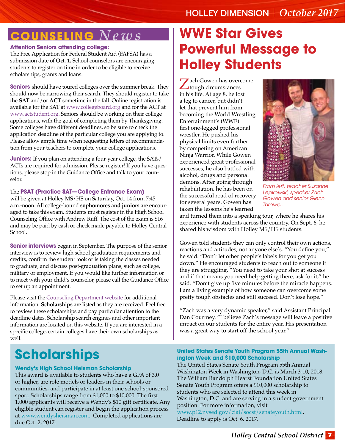### **Counseling** *News*

#### **Attention Seniors attending college:**

The Free Application for Federal Student Aid (FAFSA) has a submission date of **Oct. 1.** School counselors are encouraging students to register on time in order to be eligible to receive scholarships, grants and loans.

**Seniors** should have toured colleges over the summer break. They should now be narrowing their search. They should register to take the **SAT** and/or **ACT** sometime in the fall. Online registration is available for the SAT at www.collegeboard.org and for the ACT at www.actstudent.org. Seniors should be working on their college applications, with the goal of completing them by Thanksgiving. Some colleges have different deadlines, so be sure to check the application deadline of the particular college you are applying to. Please allow ample time when requesting letters of recommendation from your teachers to complete your college applications.

**Juniors:** If you plan on attending a four-year college, the SATs/ ACTs are required for admission. Please register! If you have questions, please stop in the Guidance Office and talk to your counselor.

#### The **PSAT (Practice SAT—College Entrance Exam)**

will be given at Holley MS/HS on Saturday, Oct. 14 from 7:45 a.m.-noon. All college-bound **sophomores and juniors** are encouraged to take this exam. Students must register in the High School Counseling Office with Andrew Ruff. The cost of the exam is \$16 and may be paid by cash or check made payable to Holley Central School.

**Senior interviews** began in September. The purpose of the senior interview is to review high school graduation requirements and credits, confirm the student took or is taking the classes needed to graduate, and discuss post-graduation plans, such as college, military or employment. If you would like further information or to meet with your child's counselor, please call the Guidance Office to set up an appointment.

Please visit the [Counseling Department website f](www.holleycsd.org/departments.cfm?subpage=47084)or additional information. **Scholarships** are listed as they are received. Feel free to review these scholarships and pay particular attention to the deadline dates. Scholarship search engines and other important information are located on this website. If you are interested in a specific college, certain colleges have their own scholarships as well.

### **Scholarships**

#### **Wendy's High School Heisman Scholarship**

This award is available to students who have a GPA of 3.0 or higher, are role models or leaders in their schools or communities, and participate in at least one school-sponsored sport. Scholarships range from \$1,000 to \$10,000. The first 1,000 applicants will receive a Wendy's \$10 gift certificate. Any eligible student can register and begin the application process at www.wendysheisman.com. Completed applications are due Oct. 2, 2017.

## **WWE Star Gives Powerful Message to Holley Students**

**Zach Gowen has overcome** tough circumstances in his life. At age 8, he lost a leg to cancer, but didn't let that prevent him from becoming the World Wrestling Entertainment's (WWE) first one-legged professional wrestler. He pushed his physical limits even further by competing on American Ninja Warrior. While Gowen experienced great professional successes, he also battled with alcohol, drugs and personal demons. After going through rehabilitation, he has been on the successful road of recovery for several years. Gowen has taken the lessons he's learned



*From left, teacher Suzanne Lepkowski, speaker Zach Gowen and senior Glenn Thrower.*

and turned them into a speaking tour, where he shares his experience with students across the country. On Sept. 6, he shared his wisdom with Holley MS/HS students.

Gowen told students they can only control their own actions, reactions and attitudes, not anyone else's. "You define you," he said. "Don't let other people's labels for you get you down." He encouraged students to reach out to someone if they are struggling. "You need to take your shot at success and if that means you need help getting there, ask for it," he said. "Don't give up five minutes before the miracle happens. I am a living example of how someone can overcome some pretty tough obstacles and still succeed. Don't lose hope."

"Zach was a very dynamic speaker," said Assistant Principal Dan Courtney. "I believe Zach's message will leave a positive impact on our students for the entire year. His presentation was a great way to start off the school year."

#### **United States Senate Youth Program 55th Annual Washington Week and \$10,000 Scholarship**

The United States Senate Youth Program 55th Annual Washington Week in Washington, D.C. is March 3-10, 2018. The William Randolph Hearst Foundation United States Senate Youth Program offers a \$10,000 scholarship to students who are selected to attend this week in Washington, D.C. and are serving in a student government position. For more information, visit www.p12.nysed.gov/ciai/socst/senateyouth.html. Deadline to apply is Oct. 6, 2017.